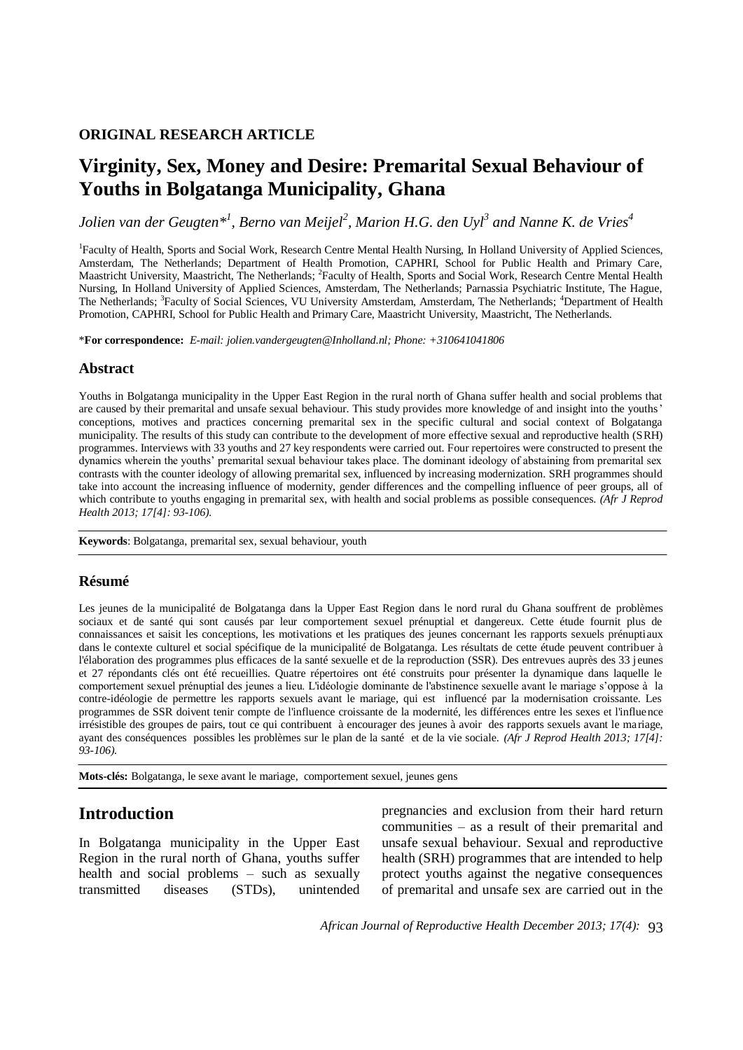### **ORIGINAL RESEARCH ARTICLE**

# **Virginity, Sex, Money and Desire: Premarital Sexual Behaviour of Youths in Bolgatanga Municipality, Ghana**

*Jolien van der Geugten\*<sup>1</sup> , Berno van Meijel<sup>2</sup> , Marion H.G. den Uyl<sup>3</sup> and Nanne K. de Vries<sup>4</sup>*

<sup>1</sup>Faculty of Health, Sports and Social Work, Research Centre Mental Health Nursing, In Holland University of Applied Sciences, Amsterdam, The Netherlands; Department of Health Promotion, CAPHRI, School for Public Health and Primary Care, Maastricht University, Maastricht, The Netherlands; <sup>2</sup>Faculty of Health, Sports and Social Work, Research Centre Mental Health Nursing, In Holland University of Applied Sciences, Amsterdam, The Netherlands; Parnassia Psychiatric Institute, The Hague, The Netherlands; <sup>3</sup>Faculty of Social Sciences, VU University Amsterdam, Amsterdam, The Netherlands; <sup>4</sup>Department of Health Promotion, CAPHRI, School for Public Health and Primary Care, Maastricht University, Maastricht, The Netherlands.

\***For correspondence:** *E-mail: jolien.vandergeugten@Inholland.nl; Phone: +310641041806*

### **Abstract**

Youths in Bolgatanga municipality in the Upper East Region in the rural north of Ghana suffer health and social problems that are caused by their premarital and unsafe sexual behaviour. This study provides more knowledge of and insight into the youths' conceptions, motives and practices concerning premarital sex in the specific cultural and social context of Bolgatanga municipality. The results of this study can contribute to the development of more effective sexual and reproductive health (SRH) programmes. Interviews with 33 youths and 27 key respondents were carried out. Four repertoires were constructed to present the dynamics wherein the youths' premarital sexual behaviour takes place. The dominant ideology of abstaining from premarital sex contrasts with the counter ideology of allowing premarital sex, influenced by increasing modernization. SRH programmes should take into account the increasing influence of modernity, gender differences and the compelling influence of peer groups, all of which contribute to youths engaging in premarital sex, with health and social problems as possible consequences. *(Afr J Reprod Health 2013; 17[4]: 93-106).*

**Keywords**: Bolgatanga, premarital sex, sexual behaviour, youth

### **Résumé**

Les jeunes de la municipalité de Bolgatanga dans la Upper East Region dans le nord rural du Ghana souffrent de problèmes sociaux et de santé qui sont causés par leur comportement sexuel prénuptial et dangereux. Cette étude fournit plus de connaissances et saisit les conceptions, les motivations et les pratiques des jeunes concernant les rapports sexuels prénuptiaux dans le contexte culturel et social spécifique de la municipalité de Bolgatanga. Les résultats de cette étude peuvent contribuer à l'élaboration des programmes plus efficaces de la santé sexuelle et de la reproduction (SSR). Des entrevues auprès des 33 jeunes et 27 répondants clés ont été recueillies. Quatre répertoires ont été construits pour présenter la dynamique dans laquelle le comportement sexuel prénuptial des jeunes a lieu. L'idéologie dominante de l'abstinence sexuelle avant le mariage s'oppose à la contre-idéologie de permettre les rapports sexuels avant le mariage, qui est influencé par la modernisation croissante. Les programmes de SSR doivent tenir compte de l'influence croissante de la modernité, les différences entre les sexes et l'influence irrésistible des groupes de pairs, tout ce qui contribuent à encourager des jeunes à avoir des rapports sexuels avant le ma riage, ayant des conséquences possibles les problèmes sur le plan de la santé et de la vie sociale. *(Afr J Reprod Health 2013; 17[4]: 93-106).*

**Mots-clés:** Bolgatanga, le sexe avant le mariage, comportement sexuel, jeunes gens

# **Introduction**

In Bolgatanga municipality in the Upper East Region in the rural north of Ghana, youths suffer health and social problems – such as sexually transmitted diseases (STDs), unintended

pregnancies and exclusion from their hard return communities – as a result of their premarital and unsafe sexual behaviour. Sexual and reproductive health (SRH) programmes that are intended to help protect youths against the negative consequences of premarital and unsafe sex are carried out in the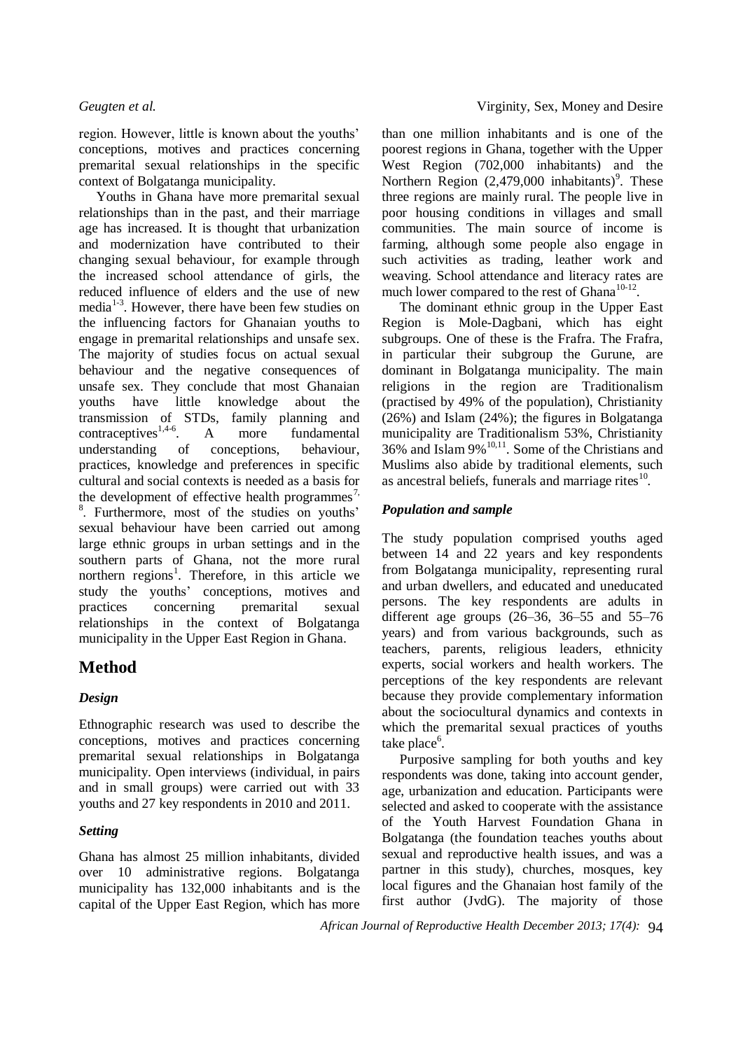region. However, little is known about the youths' conceptions, motives and practices concerning premarital sexual relationships in the specific context of Bolgatanga municipality.

Youths in Ghana have more premarital sexual relationships than in the past, and their marriage age has increased. It is thought that urbanization and modernization have contributed to their changing sexual behaviour, for example through the increased school attendance of girls, the reduced influence of elders and the use of new media<sup>1-3</sup>. However, there have been few studies on the influencing factors for Ghanaian youths to engage in premarital relationships and unsafe sex. The majority of studies focus on actual sexual behaviour and the negative consequences of unsafe sex. They conclude that most Ghanaian youths have little knowledge about the transmission of STDs, family planning and contraceptives $1,4-6$ . . A more fundamental understanding of conceptions, behaviour, practices, knowledge and preferences in specific cultural and social contexts is needed as a basis for the development of effective health programmes<sup>7,</sup> 8 . Furthermore, most of the studies on youths' sexual behaviour have been carried out among large ethnic groups in urban settings and in the southern parts of Ghana, not the more rural northern regions<sup>1</sup>. Therefore, in this article we study the youths' conceptions, motives and practices concerning premarital sexual relationships in the context of Bolgatanga municipality in the Upper East Region in Ghana.

# **Method**

## *Design*

Ethnographic research was used to describe the conceptions, motives and practices concerning premarital sexual relationships in Bolgatanga municipality. Open interviews (individual, in pairs and in small groups) were carried out with 33 youths and 27 key respondents in 2010 and 2011.

### *Setting*

Ghana has almost 25 million inhabitants, divided over 10 administrative regions. Bolgatanga municipality has 132,000 inhabitants and is the capital of the Upper East Region, which has more than one million inhabitants and is one of the poorest regions in Ghana, together with the Upper West Region (702,000 inhabitants) and the Northern Region  $(2,479,000)$  inhabitants)<sup>9</sup>. These three regions are mainly rural. The people live in poor housing conditions in villages and small communities. The main source of income is farming, although some people also engage in such activities as trading, leather work and weaving. School attendance and literacy rates are much lower compared to the rest of Ghana<sup>10-12</sup>.

The dominant ethnic group in the Upper East Region is Mole-Dagbani, which has eight subgroups. One of these is the Frafra. The Frafra, in particular their subgroup the Gurune, are dominant in Bolgatanga municipality. The main religions in the region are Traditionalism (practised by 49% of the population), Christianity (26%) and Islam (24%); the figures in Bolgatanga municipality are Traditionalism 53%, Christianity  $36\%$  and Islam  $9\%$ <sup>10,11</sup>. Some of the Christians and Muslims also abide by traditional elements, such as ancestral beliefs, funerals and marriage rites<sup>10</sup>.

## *Population and sample*

The study population comprised youths aged between 14 and 22 years and key respondents from Bolgatanga municipality, representing rural and urban dwellers, and educated and uneducated persons. The key respondents are adults in different age groups (26–36, 36–55 and 55–76 years) and from various backgrounds, such as teachers, parents, religious leaders, ethnicity experts, social workers and health workers. The perceptions of the key respondents are relevant because they provide complementary information about the sociocultural dynamics and contexts in which the premarital sexual practices of youths take place<sup>6</sup>.

Purposive sampling for both youths and key respondents was done, taking into account gender, age, urbanization and education. Participants were selected and asked to cooperate with the assistance of the Youth Harvest Foundation Ghana in Bolgatanga (the foundation teaches youths about sexual and reproductive health issues, and was a partner in this study), churches, mosques, key local figures and the Ghanaian host family of the first author (JvdG). The majority of those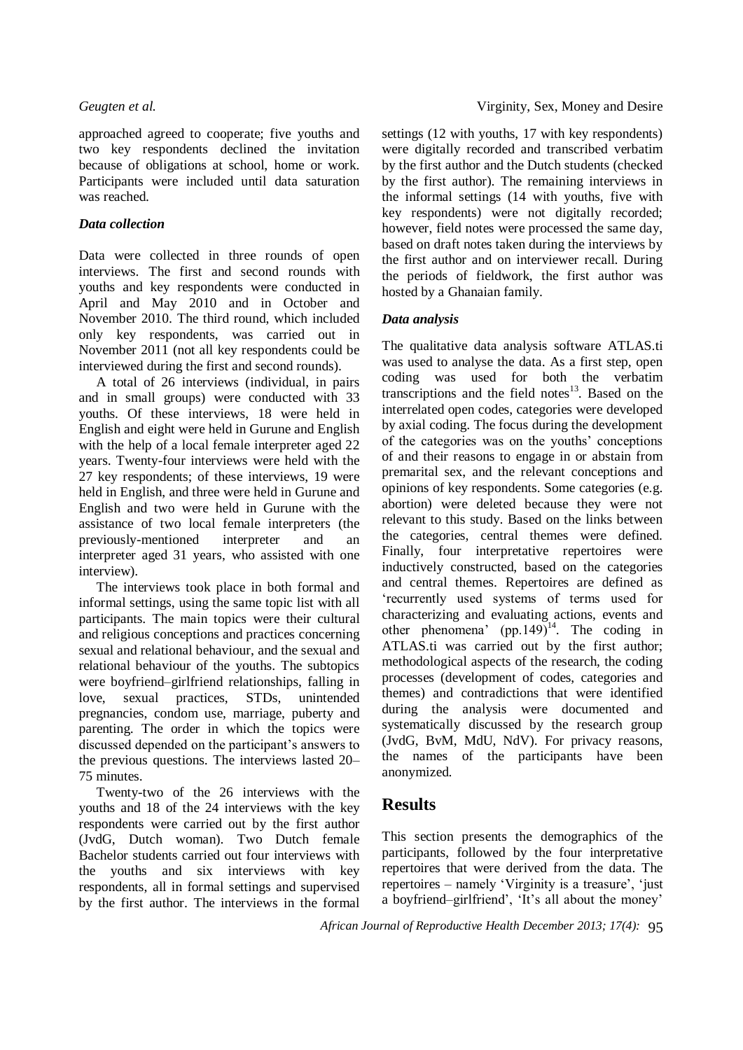approached agreed to cooperate; five youths and two key respondents declined the invitation because of obligations at school, home or work. Participants were included until data saturation was reached.

### *Data collection*

Data were collected in three rounds of open interviews. The first and second rounds with youths and key respondents were conducted in April and May 2010 and in October and November 2010. The third round, which included only key respondents, was carried out in November 2011 (not all key respondents could be interviewed during the first and second rounds).

A total of 26 interviews (individual, in pairs and in small groups) were conducted with 33 youths. Of these interviews, 18 were held in English and eight were held in Gurune and English with the help of a local female interpreter aged 22 years. Twenty-four interviews were held with the 27 key respondents; of these interviews, 19 were held in English, and three were held in Gurune and English and two were held in Gurune with the assistance of two local female interpreters (the previously-mentioned interpreter and an interpreter aged 31 years, who assisted with one interview).

The interviews took place in both formal and informal settings, using the same topic list with all participants. The main topics were their cultural and religious conceptions and practices concerning sexual and relational behaviour, and the sexual and relational behaviour of the youths. The subtopics were boyfriend–girlfriend relationships, falling in love, sexual practices, STDs, unintended pregnancies, condom use, marriage, puberty and parenting. The order in which the topics were discussed depended on the participant's answers to the previous questions. The interviews lasted 20– 75 minutes.

Twenty-two of the 26 interviews with the youths and 18 of the 24 interviews with the key respondents were carried out by the first author (JvdG, Dutch woman). Two Dutch female Bachelor students carried out four interviews with the youths and six interviews with key respondents, all in formal settings and supervised by the first author. The interviews in the formal

settings (12 with youths, 17 with key respondents) were digitally recorded and transcribed verbatim by the first author and the Dutch students (checked by the first author). The remaining interviews in the informal settings (14 with youths, five with key respondents) were not digitally recorded; however, field notes were processed the same day, based on draft notes taken during the interviews by the first author and on interviewer recall. During the periods of fieldwork, the first author was hosted by a Ghanaian family.

## *Data analysis*

The qualitative data analysis software ATLAS.ti was used to analyse the data. As a first step, open coding was used for both the verbatim transcriptions and the field notes $13$ . Based on the interrelated open codes, categories were developed by axial coding. The focus during the development of the categories was on the youths' conceptions of and their reasons to engage in or abstain from premarital sex, and the relevant conceptions and opinions of key respondents. Some categories (e.g. abortion) were deleted because they were not relevant to this study. Based on the links between the categories, central themes were defined. Finally, four interpretative repertoires were inductively constructed, based on the categories and central themes. Repertoires are defined as 'recurrently used systems of terms used for characterizing and evaluating actions, events and other phenomena' (pp.149)<sup>14</sup>. The coding in ATLAS.ti was carried out by the first author; methodological aspects of the research, the coding processes (development of codes, categories and themes) and contradictions that were identified during the analysis were documented and systematically discussed by the research group (JvdG, BvM, MdU, NdV). For privacy reasons, the names of the participants have been anonymized.

# **Results**

This section presents the demographics of the participants, followed by the four interpretative repertoires that were derived from the data. The repertoires – namely 'Virginity is a treasure', 'just a boyfriend–girlfriend', 'It's all about the money'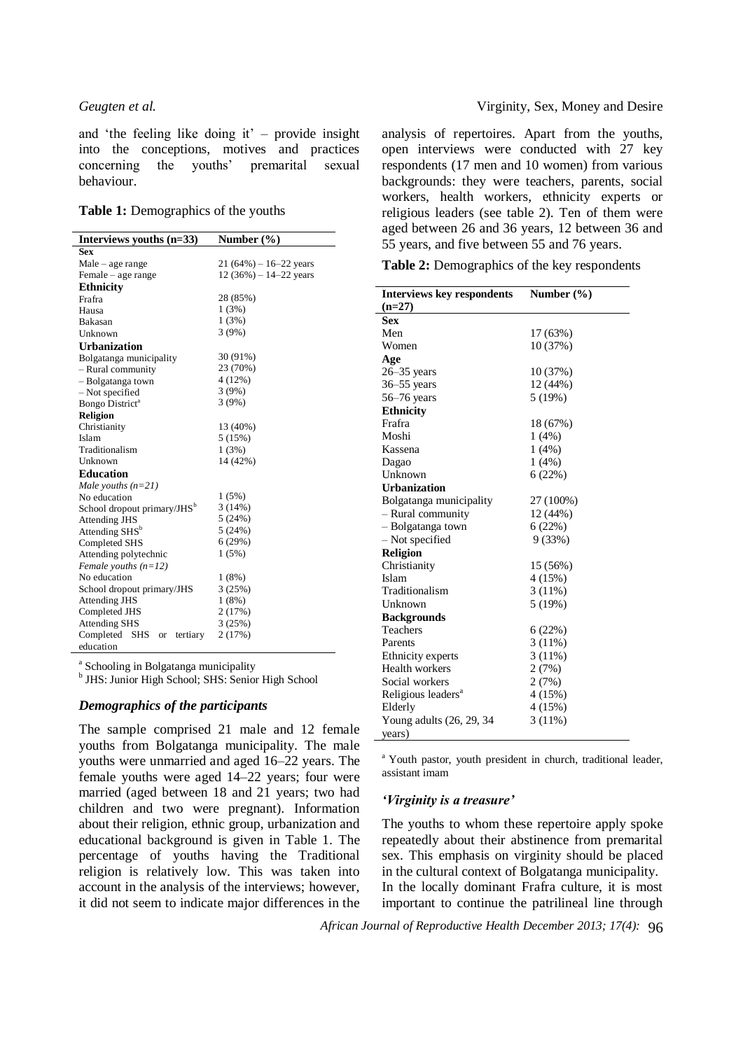and 'the feeling like doing it' – provide insight into the conceptions, motives and practices concerning the youths' premarital sexual behaviour.

|  | Table 1: Demographics of the youths |  |  |
|--|-------------------------------------|--|--|
|--|-------------------------------------|--|--|

| Interviews youths $(n=33)$              | Number $(\% )$                     |  |  |
|-----------------------------------------|------------------------------------|--|--|
| <b>Sex</b>                              |                                    |  |  |
| Male – age range                        | $21(64\%) - 16 - 22 \text{ years}$ |  |  |
| Female - age range                      | $12(36\%) - 14 - 22$ years         |  |  |
| <b>Ethnicity</b>                        |                                    |  |  |
| Frafra                                  | 28 (85%)                           |  |  |
| Hausa                                   | 1(3%)                              |  |  |
| Bakasan                                 | 1(3%)                              |  |  |
| Unknown                                 | 3(9%)                              |  |  |
| <b>Urbanization</b>                     |                                    |  |  |
| Bolgatanga municipality                 | 30 (91%)                           |  |  |
| - Rural community                       | 23 (70%)                           |  |  |
| - Bolgatanga town                       | 4(12%)                             |  |  |
| - Not specified                         | 3(9%)                              |  |  |
| Bongo District <sup>a</sup>             | 3(9%)                              |  |  |
| <b>Religion</b>                         |                                    |  |  |
| Christianity                            | 13 (40%)                           |  |  |
| Islam                                   | 5 (15%)                            |  |  |
| Traditionalism                          | 1(3%)                              |  |  |
| Unknown                                 | 14 (42%)                           |  |  |
| <b>Education</b>                        |                                    |  |  |
| Male youths $(n=21)$                    |                                    |  |  |
| No education                            | 1(5%)                              |  |  |
| School dropout primary/JHS <sup>b</sup> | 3(14%)                             |  |  |
| <b>Attending JHS</b>                    | 5(24%)                             |  |  |
| Attending SHS <sup>b</sup>              | 5(24%)                             |  |  |
| Completed SHS                           | 6(29%)                             |  |  |
| Attending polytechnic                   | 1(5%)                              |  |  |
| Female youths $(n=12)$                  |                                    |  |  |
| No education                            | 1(8%)                              |  |  |
| School dropout primary/JHS              | 3(25%)                             |  |  |
| <b>Attending JHS</b>                    | 1(8%)                              |  |  |
| Completed JHS                           | 2(17%)                             |  |  |
| <b>Attending SHS</b>                    | 3(25%)                             |  |  |
| Completed<br>SHS<br>tertiary<br>or      | 2(17%)                             |  |  |
| education                               |                                    |  |  |

<sup>a</sup> Schooling in Bolgatanga municipality

<sup>b</sup> JHS: Junior High School; SHS: Senior High School

### *Demographics of the participants*

The sample comprised 21 male and 12 female youths from Bolgatanga municipality. The male youths were unmarried and aged 16–22 years. The female youths were aged 14–22 years; four were married (aged between 18 and 21 years; two had children and two were pregnant). Information about their religion, ethnic group, urbanization and educational background is given in Table 1. The percentage of youths having the Traditional religion is relatively low. This was taken into account in the analysis of the interviews; however, it did not seem to indicate major differences in the

analysis of repertoires. Apart from the youths, open interviews were conducted with 27 key respondents (17 men and 10 women) from various backgrounds: they were teachers, parents, social workers, health workers, ethnicity experts or religious leaders (see table 2). Ten of them were aged between 26 and 36 years, 12 between 36 and 55 years, and five between 55 and 76 years.

**Table 2:** Demographics of the key respondents

| <b>Interviews key respondents</b> | Number $(\% )$ |  |  |  |
|-----------------------------------|----------------|--|--|--|
| $(n=27)$                          |                |  |  |  |
| <b>Sex</b>                        |                |  |  |  |
| Men                               | 17 (63%)       |  |  |  |
| Women                             | 10(37%)        |  |  |  |
| Age                               |                |  |  |  |
| $26 - 35$ years                   | 10(37%)        |  |  |  |
| $36 - 55$ years                   | 12 (44%)       |  |  |  |
| $56-76$ years                     | 5 (19%)        |  |  |  |
| <b>Ethnicity</b>                  |                |  |  |  |
| Frafra                            | 18 (67%)       |  |  |  |
| Moshi                             | 1(4%)          |  |  |  |
| Kassena                           | 1(4%)          |  |  |  |
| Dagao                             | 1(4%)          |  |  |  |
| Unknown                           | 6(22%)         |  |  |  |
| <b>Urbanization</b>               |                |  |  |  |
| Bolgatanga municipality           | 27 (100%)      |  |  |  |
| - Rural community                 | 12(44%)        |  |  |  |
| - Bolgatanga town                 | 6(22%)         |  |  |  |
| - Not specified                   | 9 (33%)        |  |  |  |
| <b>Religion</b>                   |                |  |  |  |
| Christianity                      | 15 (56%)       |  |  |  |
| Islam                             | 4(15%)         |  |  |  |
| Traditionalism                    | $3(11\%)$      |  |  |  |
| Unknown                           | 5(19%)         |  |  |  |
| <b>Backgrounds</b>                |                |  |  |  |
| <b>Teachers</b>                   | 6(22%)         |  |  |  |
| Parents                           | 3 (11%)        |  |  |  |
| Ethnicity experts                 | $3(11\%)$      |  |  |  |
| Health workers                    | 2(7%)          |  |  |  |
| Social workers                    | 2(7%)          |  |  |  |
| Religious leaders <sup>a</sup>    | 4(15%)         |  |  |  |
| Elderly                           | 4(15%)         |  |  |  |
| Young adults (26, 29, 34          | $3(11\%)$      |  |  |  |
| years)                            |                |  |  |  |

<sup>a</sup> Youth pastor, youth president in church, traditional leader, assistant imam

### *'Virginity is a treasure'*

The youths to whom these repertoire apply spoke repeatedly about their abstinence from premarital sex. This emphasis on virginity should be placed in the cultural context of Bolgatanga municipality. In the locally dominant Frafra culture, it is most important to continue the patrilineal line through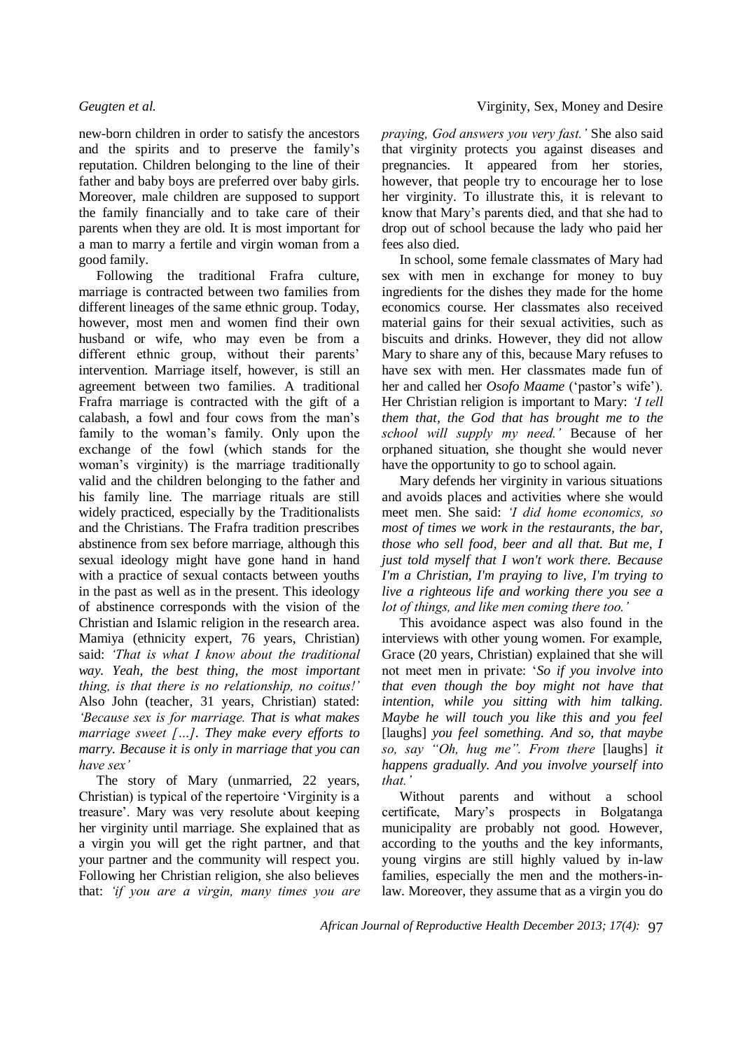new-born children in order to satisfy the ancestors and the spirits and to preserve the family's reputation. Children belonging to the line of their father and baby boys are preferred over baby girls. Moreover, male children are supposed to support the family financially and to take care of their parents when they are old. It is most important for a man to marry a fertile and virgin woman from a good family.

Following the traditional Frafra culture, marriage is contracted between two families from different lineages of the same ethnic group. Today, however, most men and women find their own husband or wife, who may even be from a different ethnic group, without their parents' intervention. Marriage itself, however, is still an agreement between two families. A traditional Frafra marriage is contracted with the gift of a calabash, a fowl and four cows from the man's family to the woman's family. Only upon the exchange of the fowl (which stands for the woman's virginity) is the marriage traditionally valid and the children belonging to the father and his family line. The marriage rituals are still widely practiced, especially by the Traditionalists and the Christians. The Frafra tradition prescribes abstinence from sex before marriage, although this sexual ideology might have gone hand in hand with a practice of sexual contacts between youths in the past as well as in the present. This ideology of abstinence corresponds with the vision of the Christian and Islamic religion in the research area. Mamiya (ethnicity expert, 76 years, Christian) said: *'That is what I know about the traditional way. Yeah, the best thing, the most important thing, is that there is no relationship, no coitus!'*  Also John (teacher, 31 years, Christian) stated: *'Because sex is for marriage. That is what makes marriage sweet […]. They make every efforts to marry. Because it is only in marriage that you can have sex'* 

The story of Mary (unmarried, 22 years, Christian) is typical of the repertoire 'Virginity is a treasure'. Mary was very resolute about keeping her virginity until marriage. She explained that as a virgin you will get the right partner, and that your partner and the community will respect you. Following her Christian religion, she also believes that: *'if you are a virgin, many times you are* 

*praying, God answers you very fast.'* She also said that virginity protects you against diseases and pregnancies. It appeared from her stories, however, that people try to encourage her to lose her virginity. To illustrate this, it is relevant to know that Mary's parents died, and that she had to drop out of school because the lady who paid her fees also died.

In school, some female classmates of Mary had sex with men in exchange for money to buy ingredients for the dishes they made for the home economics course. Her classmates also received material gains for their sexual activities, such as biscuits and drinks. However, they did not allow Mary to share any of this, because Mary refuses to have sex with men. Her classmates made fun of her and called her *Osofo Maame* ('pastor's wife'). Her Christian religion is important to Mary: *'I tell them that, the God that has brought me to the school will supply my need.'* Because of her orphaned situation, she thought she would never have the opportunity to go to school again.

Mary defends her virginity in various situations and avoids places and activities where she would meet men. She said: *'I did home economics, so most of times we work in the restaurants, the bar, those who sell food, beer and all that. But me, I just told myself that I won't work there. Because I'm a Christian, I'm praying to live, I'm trying to live a righteous life and working there you see a lot of things, and like men coming there too.'*

This avoidance aspect was also found in the interviews with other young women. For example, Grace (20 years, Christian) explained that she will not meet men in private: '*So if you involve into that even though the boy might not have that intention, while you sitting with him talking. Maybe he will touch you like this and you feel*  [laughs] *you feel something. And so, that maybe so, say "Oh, hug me". From there* [laughs] *it happens gradually. And you involve yourself into that.'* 

Without parents and without a school certificate, Mary's prospects in Bolgatanga municipality are probably not good. However, according to the youths and the key informants, young virgins are still highly valued by in-law families, especially the men and the mothers-inlaw. Moreover, they assume that as a virgin you do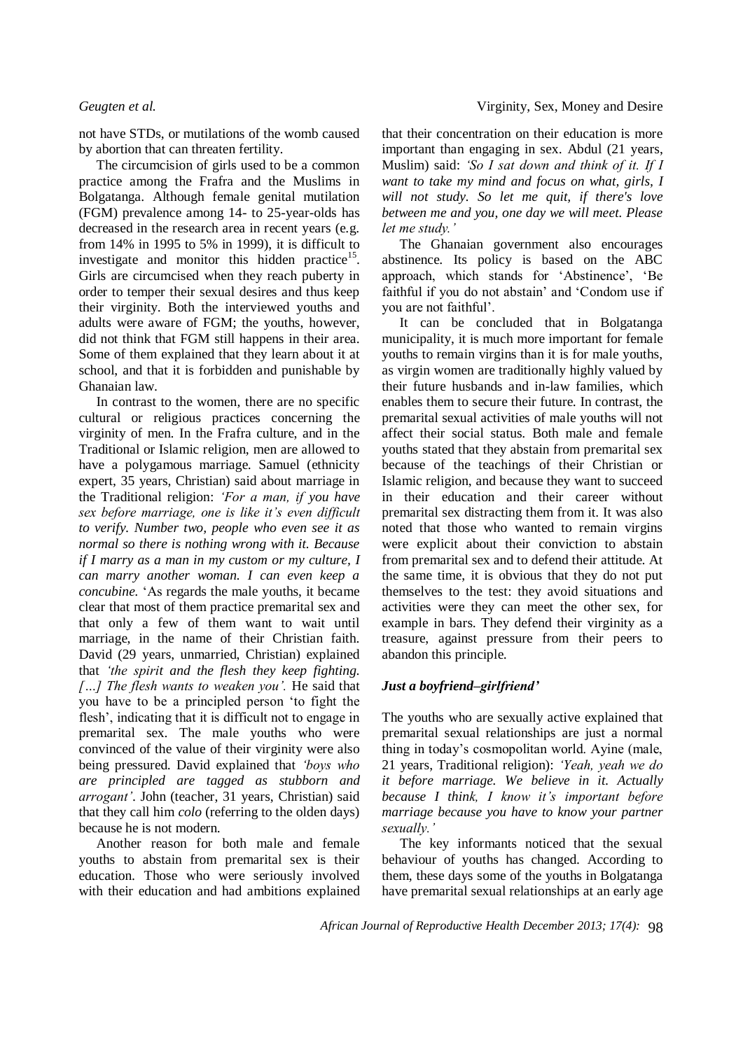not have STDs, or mutilations of the womb caused by abortion that can threaten fertility.

The circumcision of girls used to be a common practice among the Frafra and the Muslims in Bolgatanga. Although female genital mutilation (FGM) prevalence among 14- to 25-year-olds has decreased in the research area in recent years (e.g. from 14% in 1995 to 5% in 1999), it is difficult to investigate and monitor this hidden practice $15$ . Girls are circumcised when they reach puberty in order to temper their sexual desires and thus keep their virginity. Both the interviewed youths and adults were aware of FGM; the youths, however, did not think that FGM still happens in their area. Some of them explained that they learn about it at school, and that it is forbidden and punishable by Ghanaian law.

In contrast to the women, there are no specific cultural or religious practices concerning the virginity of men. In the Frafra culture, and in the Traditional or Islamic religion, men are allowed to have a polygamous marriage. Samuel (ethnicity expert, 35 years, Christian) said about marriage in the Traditional religion: *'For a man, if you have sex before marriage, one is like it's even difficult to verify. Number two, people who even see it as normal so there is nothing wrong with it. Because if I marry as a man in my custom or my culture, I can marry another woman. I can even keep a concubine.* 'As regards the male youths, it became clear that most of them practice premarital sex and that only a few of them want to wait until marriage, in the name of their Christian faith. David (29 years, unmarried, Christian) explained that *'the spirit and the flesh they keep fighting. […] The flesh wants to weaken you'.* He said that you have to be a principled person 'to fight the flesh', indicating that it is difficult not to engage in premarital sex. The male youths who were convinced of the value of their virginity were also being pressured. David explained that *'boys who are principled are tagged as stubborn and arrogant'*. John (teacher, 31 years, Christian) said that they call him *colo* (referring to the olden days) because he is not modern.

Another reason for both male and female youths to abstain from premarital sex is their education. Those who were seriously involved with their education and had ambitions explained

that their concentration on their education is more important than engaging in sex. Abdul (21 years, Muslim) said: *'So I sat down and think of it. If I want to take my mind and focus on what, girls, I will not study. So let me quit, if there's love between me and you, one day we will meet. Please let me study.'* 

The Ghanaian government also encourages abstinence. Its policy is based on the ABC approach, which stands for 'Abstinence', 'Be faithful if you do not abstain' and 'Condom use if you are not faithful'.

It can be concluded that in Bolgatanga municipality, it is much more important for female youths to remain virgins than it is for male youths, as virgin women are traditionally highly valued by their future husbands and in-law families, which enables them to secure their future. In contrast, the premarital sexual activities of male youths will not affect their social status. Both male and female youths stated that they abstain from premarital sex because of the teachings of their Christian or Islamic religion, and because they want to succeed in their education and their career without premarital sex distracting them from it. It was also noted that those who wanted to remain virgins were explicit about their conviction to abstain from premarital sex and to defend their attitude. At the same time, it is obvious that they do not put themselves to the test: they avoid situations and activities were they can meet the other sex, for example in bars. They defend their virginity as a treasure, against pressure from their peers to abandon this principle.

### *Just a boyfriend–girlfriend'*

The youths who are sexually active explained that premarital sexual relationships are just a normal thing in today's cosmopolitan world. Ayine (male, 21 years, Traditional religion): *'Yeah, yeah we do it before marriage. We believe in it. Actually because I think, I know it's important before marriage because you have to know your partner sexually.'*

The key informants noticed that the sexual behaviour of youths has changed. According to them, these days some of the youths in Bolgatanga have premarital sexual relationships at an early age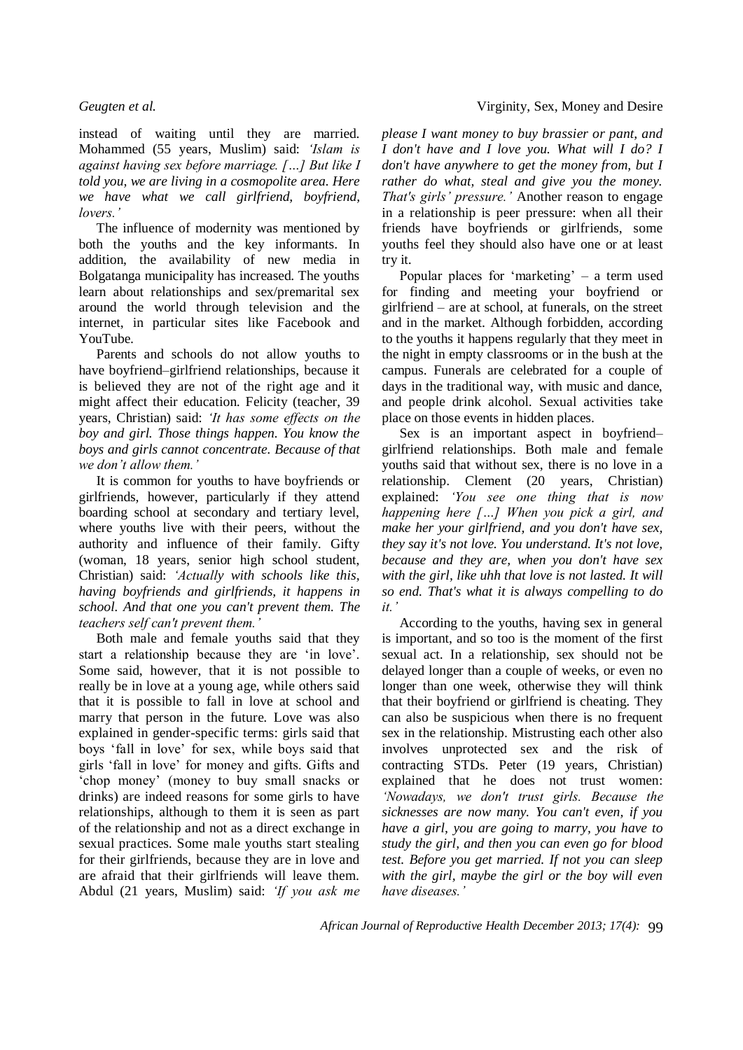instead of waiting until they are married. Mohammed (55 years, Muslim) said: *'Islam is against having sex before marriage. […] But like I told you, we are living in a cosmopolite area. Here we have what we call girlfriend, boyfriend, lovers.'*

The influence of modernity was mentioned by both the youths and the key informants. In addition, the availability of new media in Bolgatanga municipality has increased. The youths learn about relationships and sex/premarital sex around the world through television and the internet, in particular sites like Facebook and YouTube.

Parents and schools do not allow youths to have boyfriend–girlfriend relationships, because it is believed they are not of the right age and it might affect their education. Felicity (teacher, 39 years, Christian) said: *'It has some effects on the boy and girl. Those things happen. You know the boys and girls cannot concentrate. Because of that we don't allow them.'* 

It is common for youths to have boyfriends or girlfriends, however, particularly if they attend boarding school at secondary and tertiary level, where youths live with their peers, without the authority and influence of their family. Gifty (woman, 18 years, senior high school student, Christian) said: *'Actually with schools like this, having boyfriends and girlfriends, it happens in school. And that one you can't prevent them. The teachers self can't prevent them.'*

Both male and female youths said that they start a relationship because they are 'in love'. Some said, however, that it is not possible to really be in love at a young age, while others said that it is possible to fall in love at school and marry that person in the future. Love was also explained in gender-specific terms: girls said that boys 'fall in love' for sex, while boys said that girls 'fall in love' for money and gifts. Gifts and 'chop money' (money to buy small snacks or drinks) are indeed reasons for some girls to have relationships, although to them it is seen as part of the relationship and not as a direct exchange in sexual practices. Some male youths start stealing for their girlfriends, because they are in love and are afraid that their girlfriends will leave them. Abdul (21 years, Muslim) said: *'If you ask me* 

*please I want money to buy brassier or pant, and I don't have and I love you. What will I do? I don't have anywhere to get the money from, but I rather do what, steal and give you the money. That's girls' pressure.'* Another reason to engage in a relationship is peer pressure: when all their friends have boyfriends or girlfriends, some youths feel they should also have one or at least try it.

Popular places for 'marketing' – a term used for finding and meeting your boyfriend or girlfriend – are at school, at funerals, on the street and in the market. Although forbidden, according to the youths it happens regularly that they meet in the night in empty classrooms or in the bush at the campus. Funerals are celebrated for a couple of days in the traditional way, with music and dance, and people drink alcohol. Sexual activities take place on those events in hidden places.

Sex is an important aspect in boyfriend– girlfriend relationships. Both male and female youths said that without sex, there is no love in a relationship. Clement (20 years, Christian) explained: *'You see one thing that is now happening here […] When you pick a girl, and make her your girlfriend, and you don't have sex, they say it's not love. You understand. It's not love, because and they are, when you don't have sex with the girl, like uhh that love is not lasted. It will so end. That's what it is always compelling to do it.'* 

According to the youths, having sex in general is important, and so too is the moment of the first sexual act. In a relationship, sex should not be delayed longer than a couple of weeks, or even no longer than one week, otherwise they will think that their boyfriend or girlfriend is cheating. They can also be suspicious when there is no frequent sex in the relationship. Mistrusting each other also involves unprotected sex and the risk of contracting STDs. Peter (19 years, Christian) explained that he does not trust women: *'Nowadays, we don't trust girls. Because the sicknesses are now many. You can't even, if you have a girl, you are going to marry, you have to study the girl, and then you can even go for blood test. Before you get married. If not you can sleep with the girl, maybe the girl or the boy will even have diseases.'*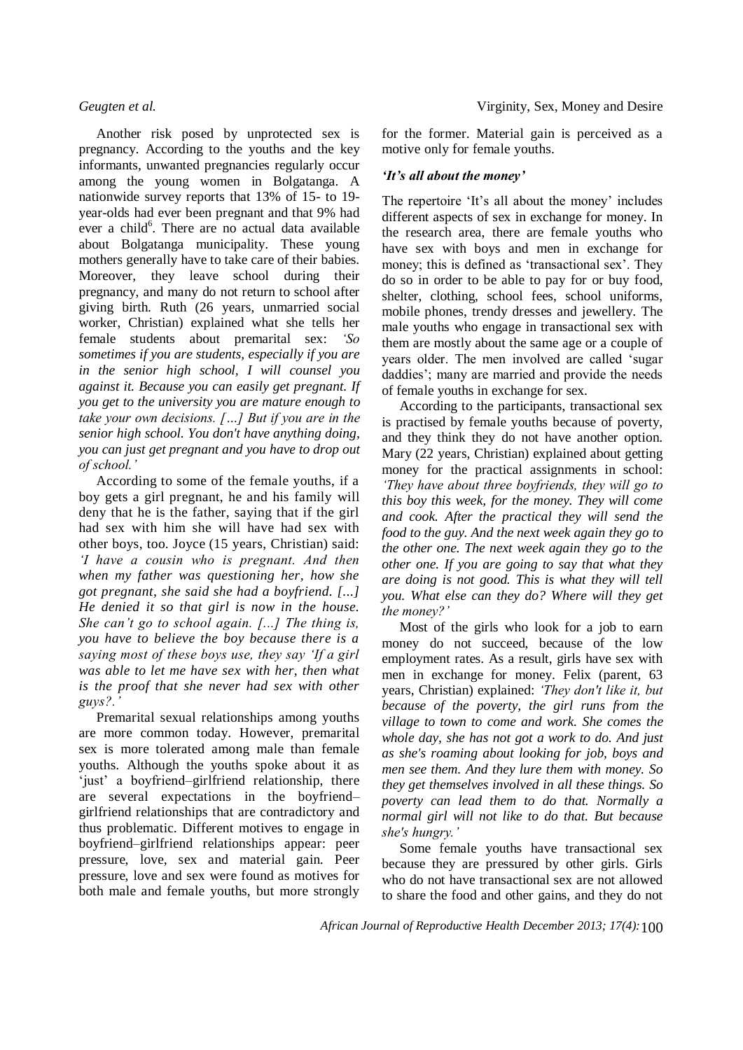Another risk posed by unprotected sex is pregnancy. According to the youths and the key informants, unwanted pregnancies regularly occur among the young women in Bolgatanga. A nationwide survey reports that 13% of 15- to 19 year-olds had ever been pregnant and that 9% had ever a child<sup>6</sup>. There are no actual data available about Bolgatanga municipality. These young mothers generally have to take care of their babies. Moreover, they leave school during their pregnancy, and many do not return to school after giving birth. Ruth (26 years, unmarried social worker, Christian) explained what she tells her female students about premarital sex: *'So sometimes if you are students, especially if you are in the senior high school, I will counsel you against it. Because you can easily get pregnant. If you get to the university you are mature enough to take your own decisions. […] But if you are in the senior high school. You don't have anything doing, you can just get pregnant and you have to drop out of school.'*

According to some of the female youths, if a boy gets a girl pregnant, he and his family will deny that he is the father, saying that if the girl had sex with him she will have had sex with other boys, too. Joyce (15 years, Christian) said: *'I have a cousin who is pregnant. And then when my father was questioning her, how she got pregnant, she said she had a boyfriend. [...] He denied it so that girl is now in the house. She can't go to school again. [...] The thing is, you have to believe the boy because there is a saying most of these boys use, they say 'If a girl was able to let me have sex with her, then what is the proof that she never had sex with other guys?.'*

Premarital sexual relationships among youths are more common today. However, premarital sex is more tolerated among male than female youths. Although the youths spoke about it as 'just' a boyfriend–girlfriend relationship, there are several expectations in the boyfriend– girlfriend relationships that are contradictory and thus problematic. Different motives to engage in boyfriend–girlfriend relationships appear: peer pressure, love, sex and material gain. Peer pressure, love and sex were found as motives for both male and female youths, but more strongly

for the former. Material gain is perceived as a motive only for female youths.

### *'It's all about the money'*

The repertoire 'It's all about the money' includes different aspects of sex in exchange for money. In the research area, there are female youths who have sex with boys and men in exchange for money; this is defined as 'transactional sex'. They do so in order to be able to pay for or buy food, shelter, clothing, school fees, school uniforms, mobile phones, trendy dresses and jewellery. The male youths who engage in transactional sex with them are mostly about the same age or a couple of years older. The men involved are called 'sugar daddies'; many are married and provide the needs of female youths in exchange for sex.

According to the participants, transactional sex is practised by female youths because of poverty, and they think they do not have another option. Mary (22 years, Christian) explained about getting money for the practical assignments in school: *'They have about three boyfriends, they will go to this boy this week, for the money. They will come and cook. After the practical they will send the food to the guy. And the next week again they go to the other one. The next week again they go to the other one. If you are going to say that what they are doing is not good. This is what they will tell you. What else can they do? Where will they get the money?'*

Most of the girls who look for a job to earn money do not succeed, because of the low employment rates. As a result, girls have sex with men in exchange for money. Felix (parent, 63 years, Christian) explained: *'They don't like it, but because of the poverty, the girl runs from the village to town to come and work. She comes the whole day, she has not got a work to do. And just as she's roaming about looking for job, boys and men see them. And they lure them with money. So they get themselves involved in all these things. So poverty can lead them to do that. Normally a normal girl will not like to do that. But because she's hungry.'*

Some female youths have transactional sex because they are pressured by other girls. Girls who do not have transactional sex are not allowed to share the food and other gains, and they do not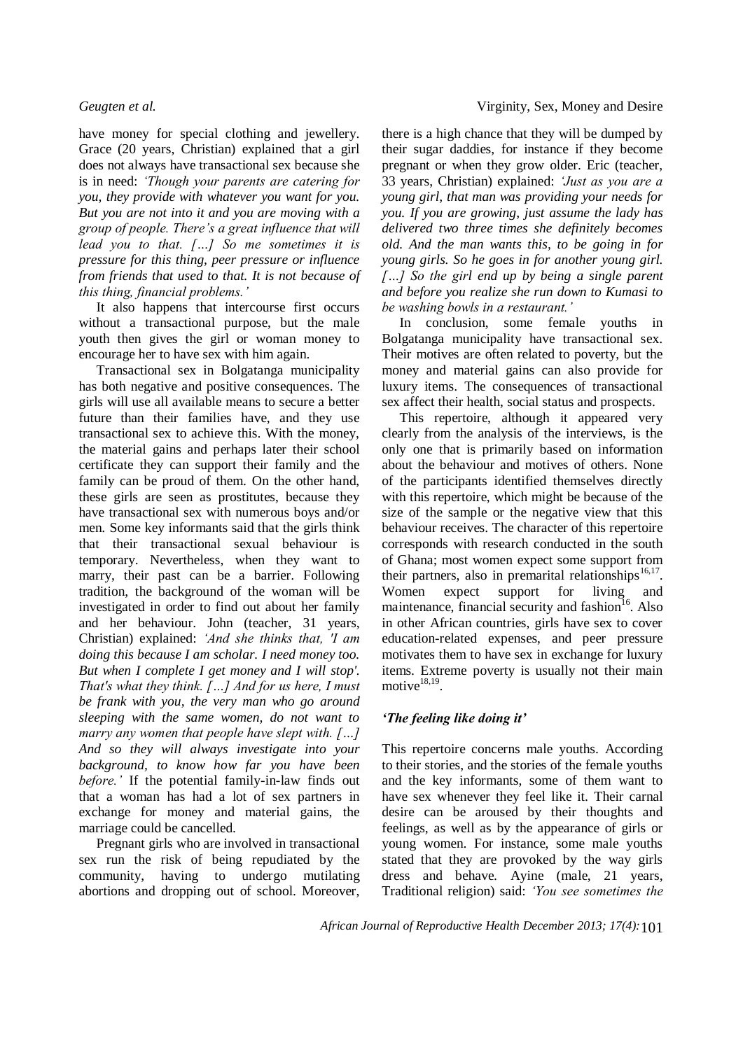have money for special clothing and jewellery. Grace (20 years, Christian) explained that a girl does not always have transactional sex because she is in need: *'Though your parents are catering for you, they provide with whatever you want for you. But you are not into it and you are moving with a group of people. There's a great influence that will lead you to that. […] So me sometimes it is pressure for this thing, peer pressure or influence from friends that used to that. It is not because of this thing, financial problems.'*

It also happens that intercourse first occurs without a transactional purpose, but the male youth then gives the girl or woman money to encourage her to have sex with him again.

Transactional sex in Bolgatanga municipality has both negative and positive consequences. The girls will use all available means to secure a better future than their families have, and they use transactional sex to achieve this. With the money, the material gains and perhaps later their school certificate they can support their family and the family can be proud of them. On the other hand, these girls are seen as prostitutes, because they have transactional sex with numerous boys and/or men. Some key informants said that the girls think that their transactional sexual behaviour is temporary. Nevertheless, when they want to marry, their past can be a barrier. Following tradition, the background of the woman will be investigated in order to find out about her family and her behaviour. John (teacher, 31 years, Christian) explained: *'And she thinks that, 'I am doing this because I am scholar. I need money too. But when I complete I get money and I will stop'. That's what they think. […] And for us here, I must be frank with you, the very man who go around sleeping with the same women, do not want to marry any women that people have slept with. […] And so they will always investigate into your background, to know how far you have been before.'* If the potential family-in-law finds out that a woman has had a lot of sex partners in exchange for money and material gains, the marriage could be cancelled.

Pregnant girls who are involved in transactional sex run the risk of being repudiated by the community, having to undergo mutilating abortions and dropping out of school. Moreover,

there is a high chance that they will be dumped by their sugar daddies, for instance if they become pregnant or when they grow older. Eric (teacher, 33 years, Christian) explained: *'Just as you are a young girl, that man was providing your needs for you. If you are growing, just assume the lady has delivered two three times she definitely becomes old. And the man wants this, to be going in for young girls. So he goes in for another young girl. […] So the girl end up by being a single parent and before you realize she run down to Kumasi to be washing bowls in a restaurant.'*

In conclusion, some female youths in Bolgatanga municipality have transactional sex. Their motives are often related to poverty, but the money and material gains can also provide for luxury items. The consequences of transactional sex affect their health, social status and prospects.

This repertoire, although it appeared very clearly from the analysis of the interviews, is the only one that is primarily based on information about the behaviour and motives of others. None of the participants identified themselves directly with this repertoire, which might be because of the size of the sample or the negative view that this behaviour receives. The character of this repertoire corresponds with research conducted in the south of Ghana; most women expect some support from their partners, also in premarital relationships $^{16,17}$ . Women expect support for living and maintenance, financial security and fashion<sup>16</sup>. Also in other African countries, girls have sex to cover education-related expenses, and peer pressure motivates them to have sex in exchange for luxury items. Extreme poverty is usually not their main motive $18,19$ .

### *'The feeling like doing it'*

This repertoire concerns male youths. According to their stories, and the stories of the female youths and the key informants, some of them want to have sex whenever they feel like it. Their carnal desire can be aroused by their thoughts and feelings, as well as by the appearance of girls or young women. For instance, some male youths stated that they are provoked by the way girls dress and behave. Ayine (male, 21 years, Traditional religion) said: *'You see sometimes the*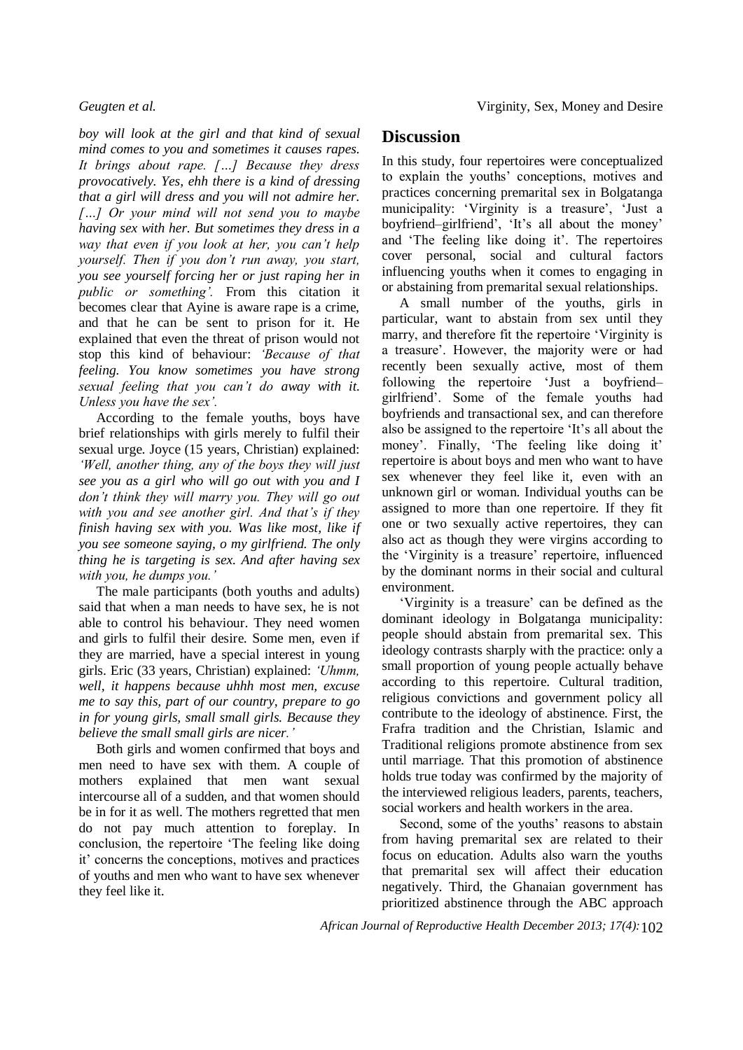*boy will look at the girl and that kind of sexual mind comes to you and sometimes it causes rapes. It brings about rape. […] Because they dress provocatively. Yes, ehh there is a kind of dressing that a girl will dress and you will not admire her. […] Or your mind will not send you to maybe having sex with her. But sometimes they dress in a way that even if you look at her, you can't help yourself. Then if you don't run away, you start, you see yourself forcing her or just raping her in public or something'.* From this citation it becomes clear that Ayine is aware rape is a crime, and that he can be sent to prison for it. He explained that even the threat of prison would not stop this kind of behaviour: *'Because of that feeling. You know sometimes you have strong sexual feeling that you can't do away with it. Unless you have the sex'.* 

According to the female youths, boys have brief relationships with girls merely to fulfil their sexual urge. Joyce (15 years, Christian) explained: *'Well, another thing, any of the boys they will just see you as a girl who will go out with you and I don't think they will marry you. They will go out with you and see another girl. And that's if they finish having sex with you. Was like most, like if you see someone saying, o my girlfriend. The only thing he is targeting is sex. And after having sex with you, he dumps you.'*

The male participants (both youths and adults) said that when a man needs to have sex, he is not able to control his behaviour. They need women and girls to fulfil their desire. Some men, even if they are married, have a special interest in young girls. Eric (33 years, Christian) explained: *'Uhmm, well, it happens because uhhh most men, excuse me to say this, part of our country, prepare to go in for young girls, small small girls. Because they believe the small small girls are nicer.'*

Both girls and women confirmed that boys and men need to have sex with them. A couple of mothers explained that men want sexual intercourse all of a sudden, and that women should be in for it as well. The mothers regretted that men do not pay much attention to foreplay. In conclusion, the repertoire 'The feeling like doing it' concerns the conceptions, motives and practices of youths and men who want to have sex whenever they feel like it.

## **Discussion**

In this study, four repertoires were conceptualized to explain the youths' conceptions, motives and practices concerning premarital sex in Bolgatanga municipality: 'Virginity is a treasure', 'Just a boyfriend–girlfriend', 'It's all about the money' and 'The feeling like doing it'. The repertoires cover personal, social and cultural factors influencing youths when it comes to engaging in or abstaining from premarital sexual relationships.

A small number of the youths, girls in particular, want to abstain from sex until they marry, and therefore fit the repertoire 'Virginity is a treasure'. However, the majority were or had recently been sexually active, most of them following the repertoire 'Just a boyfriend– girlfriend'. Some of the female youths had boyfriends and transactional sex, and can therefore also be assigned to the repertoire 'It's all about the money'. Finally, 'The feeling like doing it' repertoire is about boys and men who want to have sex whenever they feel like it, even with an unknown girl or woman. Individual youths can be assigned to more than one repertoire. If they fit one or two sexually active repertoires, they can also act as though they were virgins according to the 'Virginity is a treasure' repertoire, influenced by the dominant norms in their social and cultural environment.

'Virginity is a treasure' can be defined as the dominant ideology in Bolgatanga municipality: people should abstain from premarital sex. This ideology contrasts sharply with the practice: only a small proportion of young people actually behave according to this repertoire. Cultural tradition, religious convictions and government policy all contribute to the ideology of abstinence. First, the Frafra tradition and the Christian, Islamic and Traditional religions promote abstinence from sex until marriage. That this promotion of abstinence holds true today was confirmed by the majority of the interviewed religious leaders, parents, teachers, social workers and health workers in the area.

Second, some of the youths' reasons to abstain from having premarital sex are related to their focus on education. Adults also warn the youths that premarital sex will affect their education negatively. Third, the Ghanaian government has prioritized abstinence through the ABC approach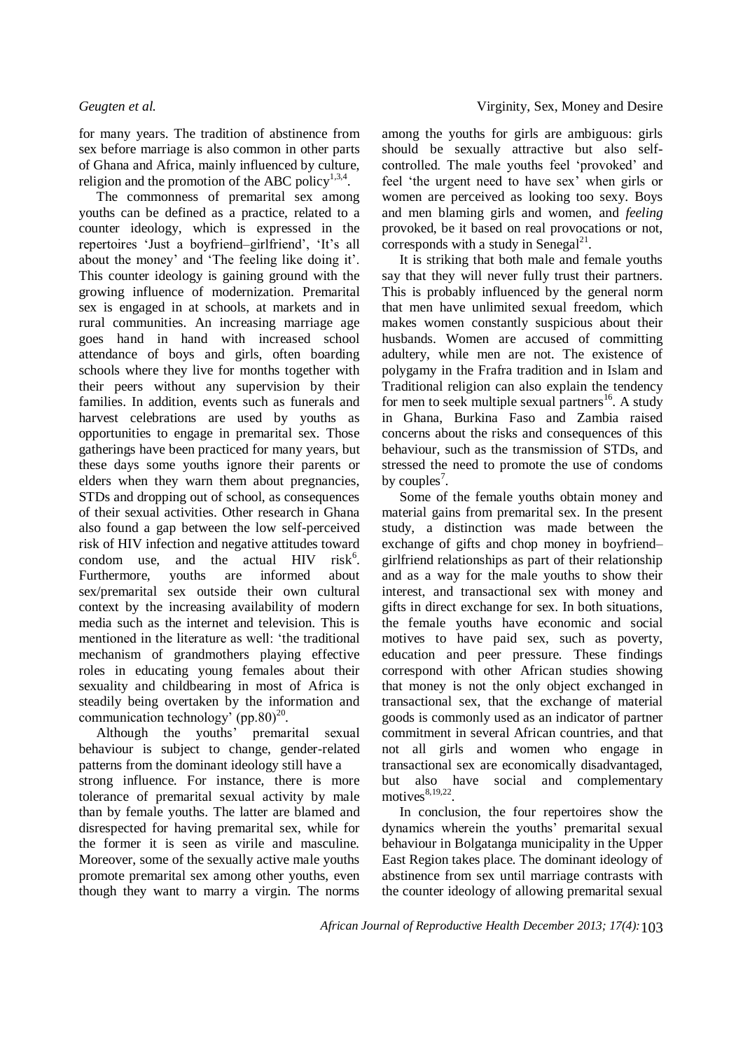for many years. The tradition of abstinence from sex before marriage is also common in other parts of Ghana and Africa, mainly influenced by culture, religion and the promotion of the ABC policy $1,3,4$ .

The commonness of premarital sex among youths can be defined as a practice, related to a counter ideology, which is expressed in the repertoires 'Just a boyfriend–girlfriend', 'It's all about the money' and 'The feeling like doing it'. This counter ideology is gaining ground with the growing influence of modernization. Premarital sex is engaged in at schools, at markets and in rural communities. An increasing marriage age goes hand in hand with increased school attendance of boys and girls, often boarding schools where they live for months together with their peers without any supervision by their families. In addition, events such as funerals and harvest celebrations are used by youths as opportunities to engage in premarital sex. Those gatherings have been practiced for many years, but these days some youths ignore their parents or elders when they warn them about pregnancies, STDs and dropping out of school, as consequences of their sexual activities. Other research in Ghana also found a gap between the low self-perceived risk of HIV infection and negative attitudes toward condom use, and the actual HIV  $risk^6$ . Furthermore, youths are informed about sex/premarital sex outside their own cultural context by the increasing availability of modern media such as the internet and television. This is mentioned in the literature as well: 'the traditional mechanism of grandmothers playing effective roles in educating young females about their sexuality and childbearing in most of Africa is steadily being overtaken by the information and communication technology' (pp.80) $^{20}$ .

Although the youths' premarital sexual behaviour is subject to change, gender-related patterns from the dominant ideology still have a strong influence. For instance, there is more tolerance of premarital sexual activity by male than by female youths. The latter are blamed and disrespected for having premarital sex, while for the former it is seen as virile and masculine. Moreover, some of the sexually active male youths promote premarital sex among other youths, even though they want to marry a virgin. The norms

among the youths for girls are ambiguous: girls should be sexually attractive but also selfcontrolled. The male youths feel 'provoked' and feel 'the urgent need to have sex' when girls or women are perceived as looking too sexy. Boys and men blaming girls and women, and *feeling*  provoked, be it based on real provocations or not, corresponds with a study in Senegal $^{21}$ .

It is striking that both male and female youths say that they will never fully trust their partners. This is probably influenced by the general norm that men have unlimited sexual freedom, which makes women constantly suspicious about their husbands. Women are accused of committing adultery, while men are not. The existence of polygamy in the Frafra tradition and in Islam and Traditional religion can also explain the tendency for men to seek multiple sexual partners<sup>16</sup>. A study in Ghana, Burkina Faso and Zambia raised concerns about the risks and consequences of this behaviour, such as the transmission of STDs, and stressed the need to promote the use of condoms by couples<sup>7</sup>.

Some of the female youths obtain money and material gains from premarital sex. In the present study, a distinction was made between the exchange of gifts and chop money in boyfriend– girlfriend relationships as part of their relationship and as a way for the male youths to show their interest, and transactional sex with money and gifts in direct exchange for sex. In both situations, the female youths have economic and social motives to have paid sex, such as poverty, education and peer pressure. These findings correspond with other African studies showing that money is not the only object exchanged in transactional sex, that the exchange of material goods is commonly used as an indicator of partner commitment in several African countries, and that not all girls and women who engage in transactional sex are economically disadvantaged, but also have social and complementary motives $8,19,22$ .

In conclusion, the four repertoires show the dynamics wherein the youths' premarital sexual behaviour in Bolgatanga municipality in the Upper East Region takes place. The dominant ideology of abstinence from sex until marriage contrasts with the counter ideology of allowing premarital sexual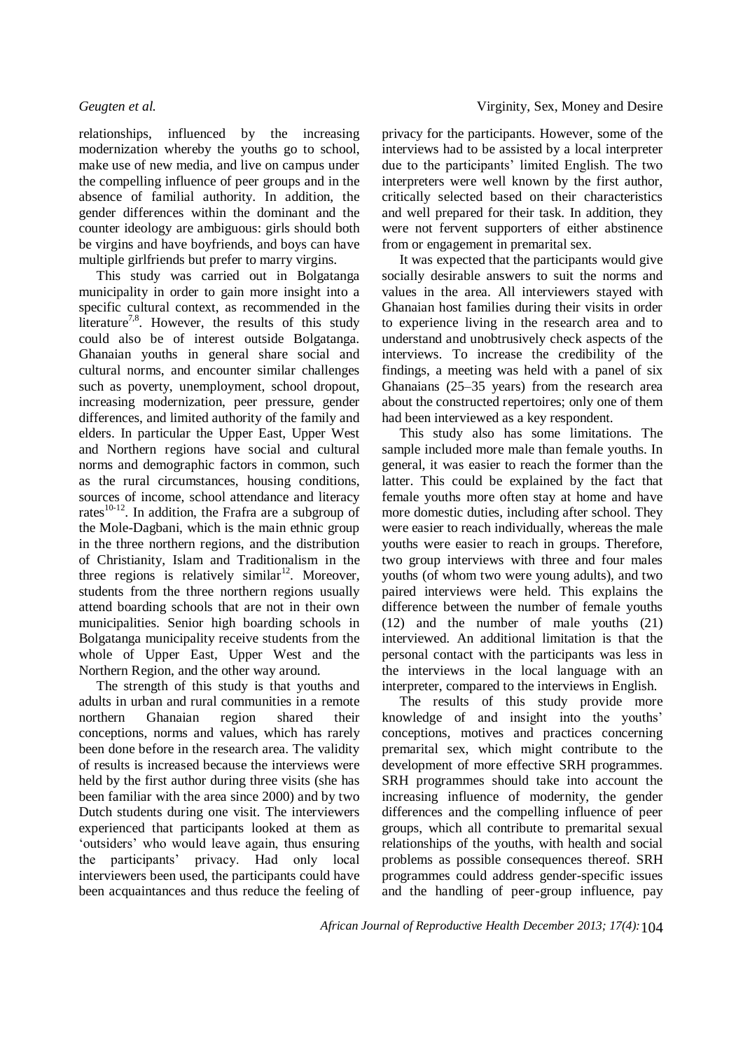relationships, influenced by the increasing modernization whereby the youths go to school, make use of new media, and live on campus under the compelling influence of peer groups and in the absence of familial authority. In addition, the gender differences within the dominant and the counter ideology are ambiguous: girls should both be virgins and have boyfriends, and boys can have multiple girlfriends but prefer to marry virgins.

This study was carried out in Bolgatanga municipality in order to gain more insight into a specific cultural context, as recommended in the literature<sup>7,8</sup>. However, the results of this study could also be of interest outside Bolgatanga. Ghanaian youths in general share social and cultural norms, and encounter similar challenges such as poverty, unemployment, school dropout, increasing modernization, peer pressure, gender differences, and limited authority of the family and elders. In particular the Upper East, Upper West and Northern regions have social and cultural norms and demographic factors in common, such as the rural circumstances, housing conditions, sources of income, school attendance and literacy rates $10-12$ . In addition, the Frafra are a subgroup of the Mole-Dagbani, which is the main ethnic group in the three northern regions, and the distribution of Christianity, Islam and Traditionalism in the three regions is relatively similar<sup>12</sup>. Moreover, students from the three northern regions usually attend boarding schools that are not in their own municipalities. Senior high boarding schools in Bolgatanga municipality receive students from the whole of Upper East, Upper West and the Northern Region, and the other way around.

The strength of this study is that youths and adults in urban and rural communities in a remote northern Ghanaian region shared their conceptions, norms and values, which has rarely been done before in the research area. The validity of results is increased because the interviews were held by the first author during three visits (she has been familiar with the area since 2000) and by two Dutch students during one visit. The interviewers experienced that participants looked at them as 'outsiders' who would leave again, thus ensuring the participants' privacy. Had only local interviewers been used, the participants could have been acquaintances and thus reduce the feeling of privacy for the participants. However, some of the interviews had to be assisted by a local interpreter due to the participants' limited English. The two interpreters were well known by the first author, critically selected based on their characteristics and well prepared for their task. In addition, they were not fervent supporters of either abstinence from or engagement in premarital sex.

It was expected that the participants would give socially desirable answers to suit the norms and values in the area. All interviewers stayed with Ghanaian host families during their visits in order to experience living in the research area and to understand and unobtrusively check aspects of the interviews. To increase the credibility of the findings, a meeting was held with a panel of six Ghanaians (25–35 years) from the research area about the constructed repertoires; only one of them had been interviewed as a key respondent.

This study also has some limitations. The sample included more male than female youths. In general, it was easier to reach the former than the latter. This could be explained by the fact that female youths more often stay at home and have more domestic duties, including after school. They were easier to reach individually, whereas the male youths were easier to reach in groups. Therefore, two group interviews with three and four males youths (of whom two were young adults), and two paired interviews were held. This explains the difference between the number of female youths (12) and the number of male youths (21) interviewed. An additional limitation is that the personal contact with the participants was less in the interviews in the local language with an interpreter, compared to the interviews in English.

The results of this study provide more knowledge of and insight into the youths' conceptions, motives and practices concerning premarital sex, which might contribute to the development of more effective SRH programmes. SRH programmes should take into account the increasing influence of modernity, the gender differences and the compelling influence of peer groups, which all contribute to premarital sexual relationships of the youths, with health and social problems as possible consequences thereof. SRH programmes could address gender-specific issues and the handling of peer-group influence, pay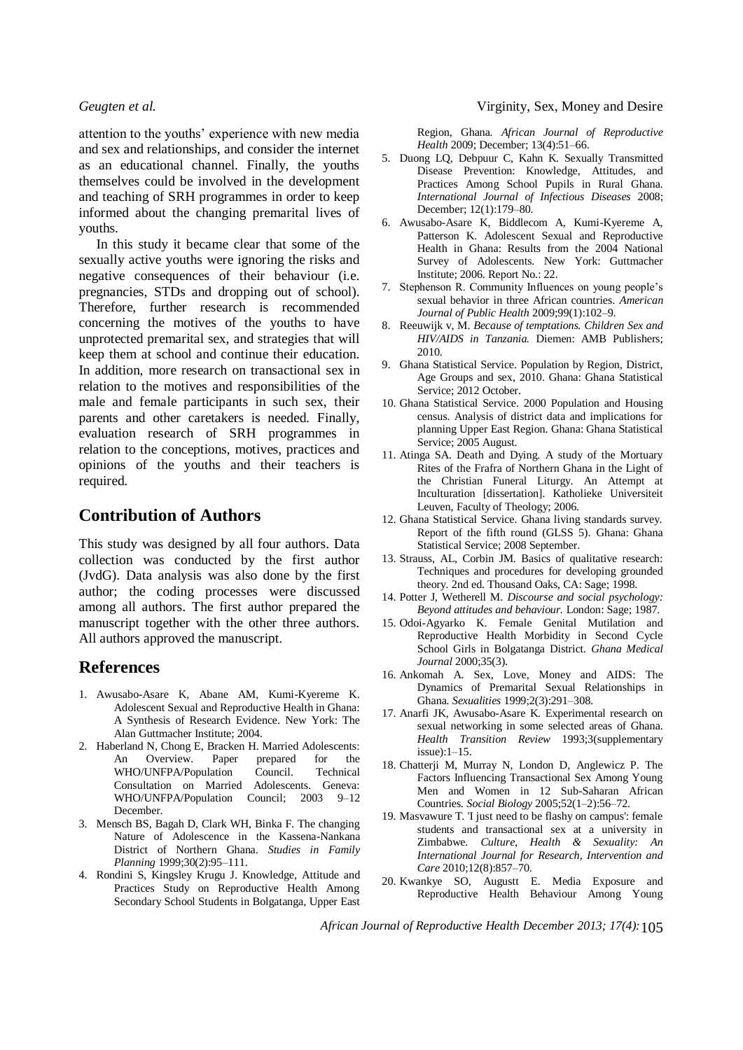attention to the youths' experience with new media and sex and relationships, and consider the internet as an educational channel. Finally, the youths themselves could be involved in the development and teaching of SRH programmes in order to keep informed about the changing premarital lives of youths.

In this study it became clear that some of the sexually active youths were ignoring the risks and negative consequences of their behaviour (i.e. pregnancies, STDs and dropping out of school). Therefore, further research is recommended concerning the motives of the youths to have unprotected premarital sex, and strategies that will keep them at school and continue their education. In addition, more research on transactional sex in relation to the motives and responsibilities of the male and female participants in such sex, their parents and other caretakers is needed. Finally, evaluation research of SRH programmes in relation to the conceptions, motives, practices and opinions of the youths and their teachers is required.

# **Contribution of Authors**

This study was designed by all four authors. Data collection was conducted by the first author (JvdG). Data analysis was also done by the first author; the coding processes were discussed among all authors. The first author prepared the manuscript together with the other three authors. All authors approved the manuscript.

## **References**

- 1. Awusabo-Asare K, Abane AM, Kumi-Kyereme K. Adolescent Sexual and Reproductive Health in Ghana: A Synthesis of Research Evidence. New York: The Alan Guttmacher Institute; 2004.
- 2. Haberland N, Chong E, Bracken H. Married Adolescents: An Overview. Paper prepared for the WHO/UNFPA/Population Council. Technical Consultation on Married Adolescents. Geneva: WHO/UNFPA/Population Council; 2003 9-12 December.
- 3. Mensch BS, Bagah D, Clark WH, Binka F. The changing Nature of Adolescence in the Kassena-Nankana District of Northern Ghana*. Studies in Family Planning* 1999;30(2):95–111.
- 4. Rondini S, Kingsley Krugu J. Knowledge, Attitude and Practices Study on Reproductive Health Among Secondary School Students in Bolgatanga, Upper East

Region, Ghana*. African Journal of Reproductive Health* 2009; December; 13(4):51–66.

- 5. Duong LQ, Debpuur C, Kahn K. Sexually Transmitted Disease Prevention: Knowledge, Attitudes, and Practices Among School Pupils in Rural Ghana*. International Journal of Infectious Diseases* 2008; December; 12(1):179–80.
- 6. Awusabo-Asare K, Biddlecom A, Kumi-Kyereme A, Patterson K. Adolescent Sexual and Reproductive Health in Ghana: Results from the 2004 National Survey of Adolescents. New York: Guttmacher Institute; 2006. Report No.: 22.
- 7. Stephenson R. Community Influences on young people's sexual behavior in three African countries*. American Journal of Public Health* 2009;99(1):102–9.
- 8. Reeuwijk v, M. *Because of temptations. Children Sex and HIV/AIDS in Tanzania.* Diemen: AMB Publishers; 2010.
- 9. Ghana Statistical Service. Population by Region, District, Age Groups and sex, 2010. Ghana: Ghana Statistical Service; 2012 October.
- 10. Ghana Statistical Service. 2000 Population and Housing census. Analysis of district data and implications for planning Upper East Region. Ghana: Ghana Statistical Service; 2005 August.
- 11. Atinga SA. Death and Dying. A study of the Mortuary Rites of the Frafra of Northern Ghana in the Light of the Christian Funeral Liturgy. An Attempt at Inculturation [dissertation]. Katholieke Universiteit Leuven, Faculty of Theology; 2006.
- 12. Ghana Statistical Service. Ghana living standards survey. Report of the fifth round (GLSS 5). Ghana: Ghana Statistical Service; 2008 September.
- 13. Strauss, AL, Corbin JM. Basics of qualitative research: Techniques and procedures for developing grounded theory. 2nd ed. Thousand Oaks, CA: Sage; 1998.
- 14. Potter J, Wetherell M. *Discourse and social psychology: Beyond attitudes and behaviour.* London: Sage; 1987.
- 15. Odoi-Agyarko K. Female Genital Mutilation and Reproductive Health Morbidity in Second Cycle School Girls in Bolgatanga District*. Ghana Medical Journal* 2000;35(3).
- 16. Ankomah A. Sex, Love, Money and AIDS: The Dynamics of Premarital Sexual Relationships in Ghana*. Sexualities* 1999;2(3):291–308.
- 17. Anarfi JK, Awusabo-Asare K. Experimental research on sexual networking in some selected areas of Ghana*. Health Transition Review* 1993;3(supplementary issue):1–15.
- 18. Chatterji M, Murray N, London D, Anglewicz P. The Factors Influencing Transactional Sex Among Young Men and Women in 12 Sub-Saharan African Countries*. Social Biology* 2005;52(1–2):56–72.
- 19. Masvawure T. 'I just need to be flashy on campus': female students and transactional sex at a university in Zimbabwe*. Culture, Health & Sexuality: An International Journal for Research, Intervention and Care* 2010;12(8):857–70.
- 20. Kwankye SO, Augustt E. Media Exposure and Reproductive Health Behaviour Among Young